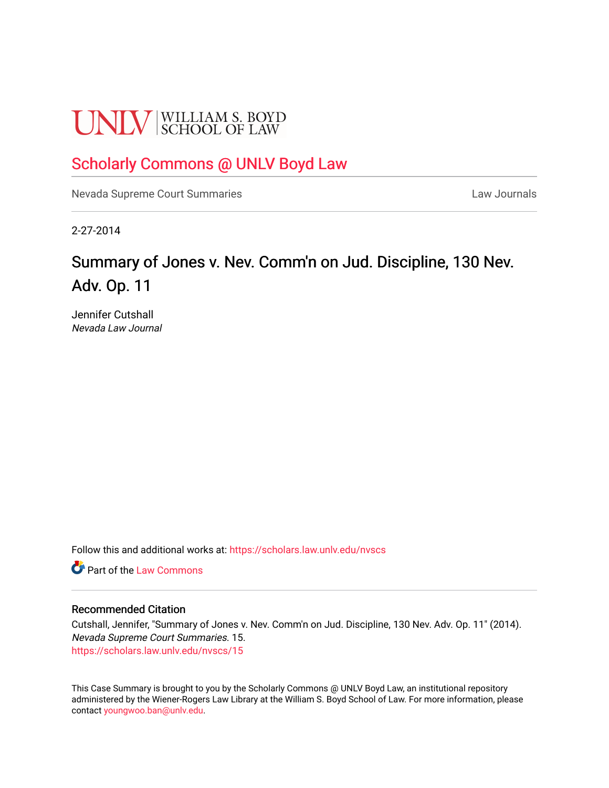# **UNLV** SCHOOL OF LAW

# [Scholarly Commons @ UNLV Boyd Law](https://scholars.law.unlv.edu/)

[Nevada Supreme Court Summaries](https://scholars.law.unlv.edu/nvscs) **Law Journals** Law Journals

2-27-2014

# Summary of Jones v. Nev. Comm'n on Jud. Discipline, 130 Nev. Adv. Op. 11

Jennifer Cutshall Nevada Law Journal

Follow this and additional works at: [https://scholars.law.unlv.edu/nvscs](https://scholars.law.unlv.edu/nvscs?utm_source=scholars.law.unlv.edu%2Fnvscs%2F15&utm_medium=PDF&utm_campaign=PDFCoverPages)

**C** Part of the [Law Commons](http://network.bepress.com/hgg/discipline/578?utm_source=scholars.law.unlv.edu%2Fnvscs%2F15&utm_medium=PDF&utm_campaign=PDFCoverPages)

#### Recommended Citation

Cutshall, Jennifer, "Summary of Jones v. Nev. Comm'n on Jud. Discipline, 130 Nev. Adv. Op. 11" (2014). Nevada Supreme Court Summaries. 15. [https://scholars.law.unlv.edu/nvscs/15](https://scholars.law.unlv.edu/nvscs/15?utm_source=scholars.law.unlv.edu%2Fnvscs%2F15&utm_medium=PDF&utm_campaign=PDFCoverPages) 

This Case Summary is brought to you by the Scholarly Commons @ UNLV Boyd Law, an institutional repository administered by the Wiener-Rogers Law Library at the William S. Boyd School of Law. For more information, please contact [youngwoo.ban@unlv.edu](mailto:youngwoo.ban@unlv.edu).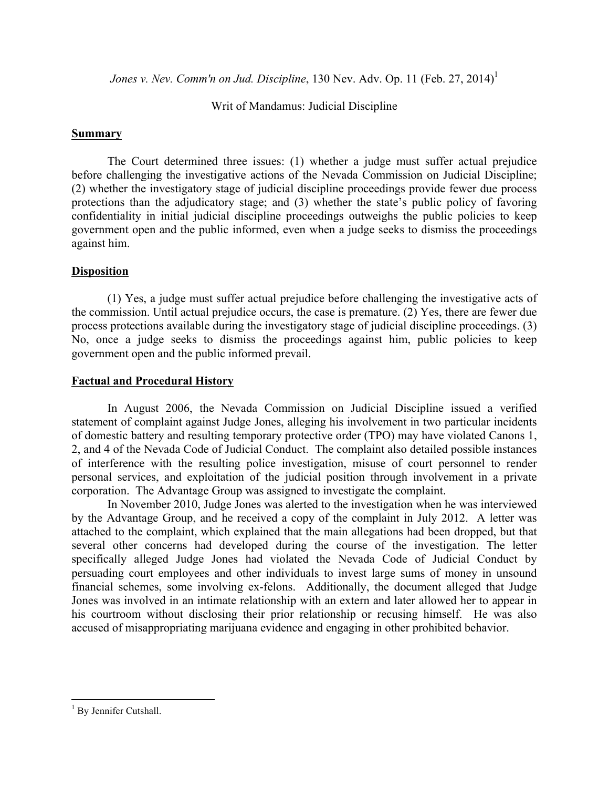*Jones v. Nev. Comm'n on Jud. Discipline*, 130 Nev. Adv. Op. 11 (Feb. 27, 2014) 1

Writ of Mandamus: Judicial Discipline

## **Summary**

The Court determined three issues: (1) whether a judge must suffer actual prejudice before challenging the investigative actions of the Nevada Commission on Judicial Discipline; (2) whether the investigatory stage of judicial discipline proceedings provide fewer due process protections than the adjudicatory stage; and (3) whether the state's public policy of favoring confidentiality in initial judicial discipline proceedings outweighs the public policies to keep government open and the public informed, even when a judge seeks to dismiss the proceedings against him.

## **Disposition**

(1) Yes, a judge must suffer actual prejudice before challenging the investigative acts of the commission. Until actual prejudice occurs, the case is premature. (2) Yes, there are fewer due process protections available during the investigatory stage of judicial discipline proceedings. (3) No, once a judge seeks to dismiss the proceedings against him, public policies to keep government open and the public informed prevail.

## **Factual and Procedural History**

In August 2006, the Nevada Commission on Judicial Discipline issued a verified statement of complaint against Judge Jones, alleging his involvement in two particular incidents of domestic battery and resulting temporary protective order (TPO) may have violated Canons 1, 2, and 4 of the Nevada Code of Judicial Conduct. The complaint also detailed possible instances of interference with the resulting police investigation, misuse of court personnel to render personal services, and exploitation of the judicial position through involvement in a private corporation. The Advantage Group was assigned to investigate the complaint.

In November 2010, Judge Jones was alerted to the investigation when he was interviewed by the Advantage Group, and he received a copy of the complaint in July 2012. A letter was attached to the complaint, which explained that the main allegations had been dropped, but that several other concerns had developed during the course of the investigation. The letter specifically alleged Judge Jones had violated the Nevada Code of Judicial Conduct by persuading court employees and other individuals to invest large sums of money in unsound financial schemes, some involving ex-felons. Additionally, the document alleged that Judge Jones was involved in an intimate relationship with an extern and later allowed her to appear in his courtroom without disclosing their prior relationship or recusing himself. He was also accused of misappropriating marijuana evidence and engaging in other prohibited behavior.

<u> 1989 - Johann Stein, markin film yn y breninn y breninn y breninn y breninn y breninn y breninn y breninn y b</u>

 $<sup>1</sup>$  By Jennifer Cutshall.</sup>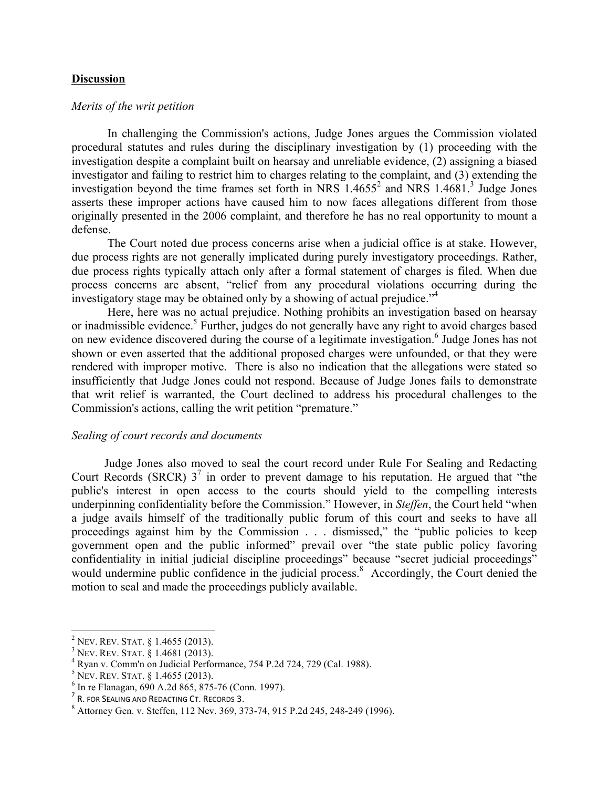#### **Discussion**

#### *Merits of the writ petition*

In challenging the Commission's actions, Judge Jones argues the Commission violated procedural statutes and rules during the disciplinary investigation by (1) proceeding with the investigation despite a complaint built on hearsay and unreliable evidence, (2) assigning a biased investigator and failing to restrict him to charges relating to the complaint, and (3) extending the investigation beyond the time frames set forth in NRS  $1.4655^2$  and NRS  $1.4681$ .<sup>3</sup> Judge Jones asserts these improper actions have caused him to now faces allegations different from those originally presented in the 2006 complaint, and therefore he has no real opportunity to mount a defense.

The Court noted due process concerns arise when a judicial office is at stake. However, due process rights are not generally implicated during purely investigatory proceedings. Rather, due process rights typically attach only after a formal statement of charges is filed. When due process concerns are absent, "relief from any procedural violations occurring during the investigatory stage may be obtained only by a showing of actual prejudice."<sup>4</sup>

Here, here was no actual prejudice. Nothing prohibits an investigation based on hearsay or inadmissible evidence.<sup>5</sup> Further, judges do not generally have any right to avoid charges based on new evidence discovered during the course of a legitimate investigation.<sup>6</sup> Judge Jones has not shown or even asserted that the additional proposed charges were unfounded, or that they were rendered with improper motive. There is also no indication that the allegations were stated so insufficiently that Judge Jones could not respond. Because of Judge Jones fails to demonstrate that writ relief is warranted, the Court declined to address his procedural challenges to the Commission's actions, calling the writ petition "premature."

#### *Sealing of court records and documents*

 Judge Jones also moved to seal the court record under Rule For Sealing and Redacting Court Records (SRCR)  $3^7$  in order to prevent damage to his reputation. He argued that "the public's interest in open access to the courts should yield to the compelling interests underpinning confidentiality before the Commission." However, in *Steffen*, the Court held "when a judge avails himself of the traditionally public forum of this court and seeks to have all proceedings against him by the Commission . . . dismissed," the "public policies to keep government open and the public informed" prevail over "the state public policy favoring confidentiality in initial judicial discipline proceedings" because "secret judicial proceedings" would undermine public confidence in the judicial process.<sup>8</sup> Accordingly, the Court denied the motion to seal and made the proceedings publicly available.

<sup>&</sup>lt;u> 1989 - Johann Stein, markin film yn y breninn y breninn y breninn y breninn y breninn y breninn y breninn y b</u>

<sup>&</sup>lt;sup>2</sup> NEV. REV. STAT. § 1.4655 (2013).<br>
<sup>3</sup> NEV. REV. STAT. § 1.4681 (2013).<br>
<sup>4</sup> Ryan v. Comm'n on Judicial Performance, 754 P.2d 724, 729 (Cal. 1988).<br>
<sup>5</sup> NEV. REV. STAT. § 1.4655 (2013).<br>
<sup>6</sup> In re Flanagan, 690 A.2d 86

<sup>8</sup> Attorney Gen. v. Steffen, 112 Nev. 369, 373-74, 915 P.2d 245, 248-249 (1996).